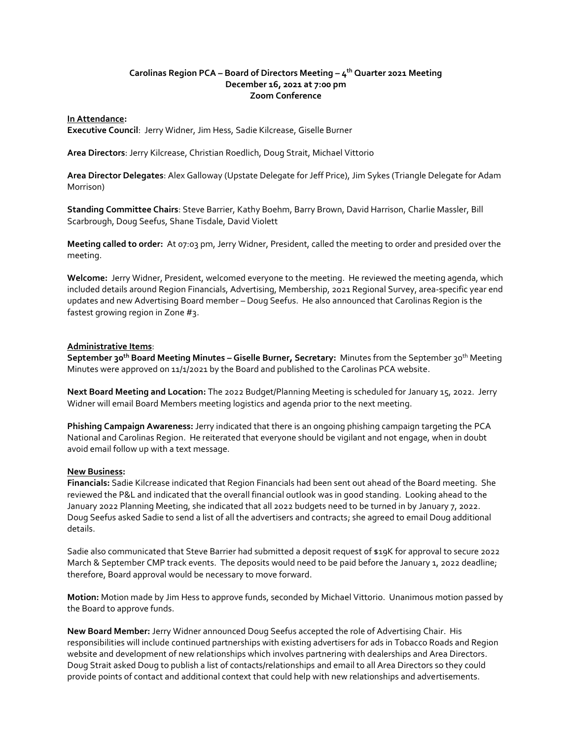## **Carolinas Region PCA – Board of Directors Meeting – 4 th Quarter 2021 Meeting December 16, 2021 at 7:00 pm Zoom Conference**

### **In Attendance:**

**Executive Council**: Jerry Widner, Jim Hess, Sadie Kilcrease, Giselle Burner

**Area Directors**: Jerry Kilcrease, Christian Roedlich, Doug Strait, Michael Vittorio

**Area Director Delegates**: Alex Galloway (Upstate Delegate for Jeff Price), Jim Sykes (Triangle Delegate for Adam Morrison)

**Standing Committee Chairs**: Steve Barrier, Kathy Boehm, Barry Brown, David Harrison, Charlie Massler, Bill Scarbrough, Doug Seefus, Shane Tisdale, David Violett

**Meeting called to order:** At 07:03 pm, Jerry Widner, President, called the meeting to order and presided over the meeting.

**Welcome:** Jerry Widner, President, welcomed everyone to the meeting. He reviewed the meeting agenda, which included details around Region Financials, Advertising, Membership, 2021 Regional Survey, area-specific year end updates and new Advertising Board member – Doug Seefus. He also announced that Carolinas Region is the fastest growing region in Zone #3.

### **Administrative Items**:

**September 30th Board Meeting Minutes – Giselle Burner, Secretary:** Minutes from the September 30th Meeting Minutes were approved on 11/1/2021 by the Board and published to the Carolinas PCA website.

**Next Board Meeting and Location:** The 2022 Budget/Planning Meeting is scheduled for January 15, 2022. Jerry Widner will email Board Members meeting logistics and agenda prior to the next meeting.

**Phishing Campaign Awareness:** Jerry indicated that there is an ongoing phishing campaign targeting the PCA National and Carolinas Region. He reiterated that everyone should be vigilant and not engage, when in doubt avoid email follow up with a text message.

#### **New Business:**

**Financials:** Sadie Kilcrease indicated that Region Financials had been sent out ahead of the Board meeting. She reviewed the P&L and indicated that the overall financial outlook was in good standing. Looking ahead to the January 2022 Planning Meeting, she indicated that all 2022 budgets need to be turned in by January 7, 2022. Doug Seefus asked Sadie to send a list of all the advertisers and contracts; she agreed to email Doug additional details.

Sadie also communicated that Steve Barrier had submitted a deposit request of \$19K for approval to secure 2022 March & September CMP track events. The deposits would need to be paid before the January 1, 2022 deadline; therefore, Board approval would be necessary to move forward.

**Motion:** Motion made by Jim Hess to approve funds, seconded by Michael Vittorio. Unanimous motion passed by the Board to approve funds.

**New Board Member:** Jerry Widner announced Doug Seefus accepted the role of Advertising Chair. His responsibilities will include continued partnerships with existing advertisers for ads in Tobacco Roads and Region website and development of new relationships which involves partnering with dealerships and Area Directors. Doug Strait asked Doug to publish a list of contacts/relationships and email to all Area Directors so they could provide points of contact and additional context that could help with new relationships and advertisements.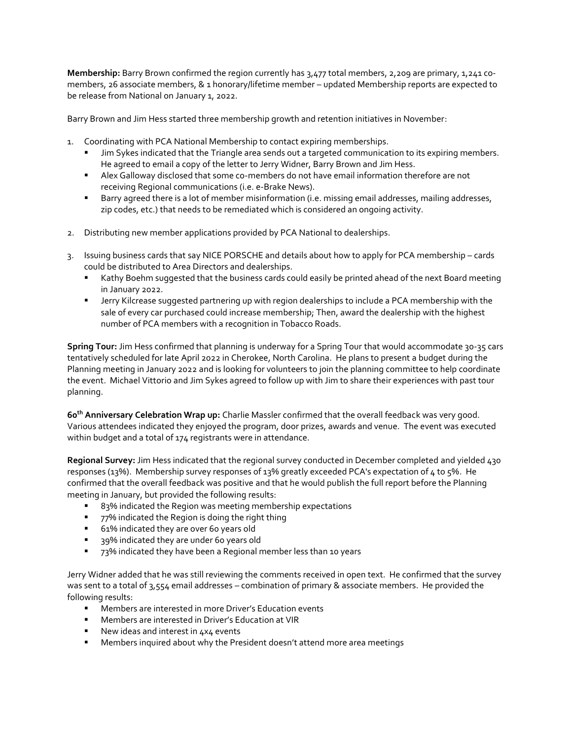**Membership:** Barry Brown confirmed the region currently has 3,477 total members, 2,209 are primary, 1,241 comembers, 26 associate members, & 1 honorary/lifetime member – updated Membership reports are expected to be release from National on January 1, 2022.

Barry Brown and Jim Hess started three membership growth and retention initiatives in November:

- 1. Coordinating with PCA National Membership to contact expiring memberships.
	- **■** Jim Sykes indicated that the Triangle area sends out a targeted communication to its expiring members. He agreed to email a copy of the letter to Jerry Widner, Barry Brown and Jim Hess.
	- **EXEC** Alex Galloway disclosed that some co-members do not have email information therefore are not receiving Regional communications (i.e. e-Brake News).
	- Barry agreed there is a lot of member misinformation (i.e. missing email addresses, mailing addresses, zip codes, etc.) that needs to be remediated which is considered an ongoing activity.
- 2. Distributing new member applications provided by PCA National to dealerships.
- 3. Issuing business cards that say NICE PORSCHE and details about how to apply for PCA membership cards could be distributed to Area Directors and dealerships.
	- **E** Kathy Boehm suggested that the business cards could easily be printed ahead of the next Board meeting in January 2022.
	- **■** Jerry Kilcrease suggested partnering up with region dealerships to include a PCA membership with the sale of every car purchased could increase membership; Then, award the dealership with the highest number of PCA members with a recognition in Tobacco Roads.

**Spring Tour:** Jim Hess confirmed that planning is underway for a Spring Tour that would accommodate 30-35 cars tentatively scheduled for late April 2022 in Cherokee, North Carolina. He plans to present a budget during the Planning meeting in January 2022 and is looking for volunteers to join the planning committee to help coordinate the event. Michael Vittorio and Jim Sykes agreed to follow up with Jim to share their experiences with past tour planning.

**60th Anniversary Celebration Wrap up:** Charlie Massler confirmed that the overall feedback was very good. Various attendees indicated they enjoyed the program, door prizes, awards and venue. The event was executed within budget and a total of 174 registrants were in attendance.

**Regional Survey:** Jim Hess indicated that the regional survey conducted in December completed and yielded 430 responses (13%). Membership survey responses of 13% greatly exceeded PCA's expectation of 4 to 5%. He confirmed that the overall feedback was positive and that he would publish the full report before the Planning meeting in January, but provided the following results:

- 83% indicated the Region was meeting membership expectations
- 77% indicated the Region is doing the right thing
- 61% indicated they are over 60 years old
- 39% indicated they are under 60 years old
- 73% indicated they have been a Regional member less than 10 years

Jerry Widner added that he was still reviewing the comments received in open text. He confirmed that the survey was sent to a total of 3,554 email addresses – combination of primary & associate members. He provided the following results:

- Members are interested in more Driver's Education events
- Members are interested in Driver's Education at VIR
- New ideas and interest in 4x4 events
- **E** Members inquired about why the President doesn't attend more area meetings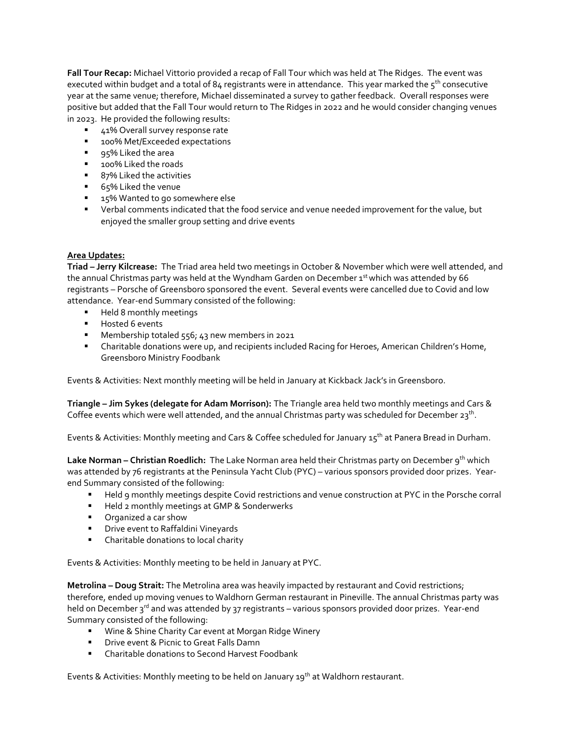**Fall Tour Recap:** Michael Vittorio provided a recap of Fall Tour which was held at The Ridges. The event was executed within budget and a total of  $84$  registrants were in attendance. This year marked the  $5<sup>th</sup>$  consecutive year at the same venue; therefore, Michael disseminated a survey to gather feedback. Overall responses were positive but added that the Fall Tour would return to The Ridges in 2022 and he would consider changing venues in 2023. He provided the following results:

- 41% Overall survey response rate
- 100% Met/Exceeded expectations
- 95% Liked the area
- 100% Liked the roads
- 87% Liked the activities
- 65% Liked the venue
- 15% Wanted to go somewhere else
- Verbal comments indicated that the food service and venue needed improvement for the value, but enjoyed the smaller group setting and drive events

# **Area Updates:**

**Triad – Jerry Kilcrease:** The Triad area held two meetings in October & November which were well attended, and the annual Christmas party was held at the Wyndham Garden on December 1<sup>st</sup> which was attended by 66 registrants – Porsche of Greensboro sponsored the event. Several events were cancelled due to Covid and low attendance. Year-end Summary consisted of the following:

- Held 8 monthly meetings
- Hosted 6 events
- Membership totaled 556; 43 new members in 2021
- Charitable donations were up, and recipients included Racing for Heroes, American Children's Home, Greensboro Ministry Foodbank

Events & Activities: Next monthly meeting will be held in January at Kickback Jack's in Greensboro.

**Triangle – Jim Sykes (delegate for Adam Morrison):** The Triangle area held two monthly meetings and Cars & Coffee events which were well attended, and the annual Christmas party was scheduled for December 23<sup>th</sup>.

Events & Activities: Monthly meeting and Cars & Coffee scheduled for January 15<sup>th</sup> at Panera Bread in Durham.

**Lake Norman – Christian Roedlich:** The Lake Norman area held their Christmas party on December 9th which was attended by 76 registrants at the Peninsula Yacht Club (PYC) – various sponsors provided door prizes. Yearend Summary consisted of the following:

- Held 9 monthly meetings despite Covid restrictions and venue construction at PYC in the Porsche corral
- Held 2 monthly meetings at GMP & Sonderwerks
- Organized a car show
- Drive event to Raffaldini Vineyards
- Charitable donations to local charity

Events & Activities: Monthly meeting to be held in January at PYC.

**Metrolina – Doug Strait:** The Metrolina area was heavily impacted by restaurant and Covid restrictions; therefore, ended up moving venues to Waldhorn German restaurant in Pineville. The annual Christmas party was held on December 3<sup>rd</sup> and was attended by 37 registrants – various sponsors provided door prizes. Year-end Summary consisted of the following:

- Wine & Shine Charity Car event at Morgan Ridge Winery
- **■** Drive event & Picnic to Great Falls Damn
- Charitable donations to Second Harvest Foodbank

Events & Activities: Monthly meeting to be held on January  $19^{th}$  at Waldhorn restaurant.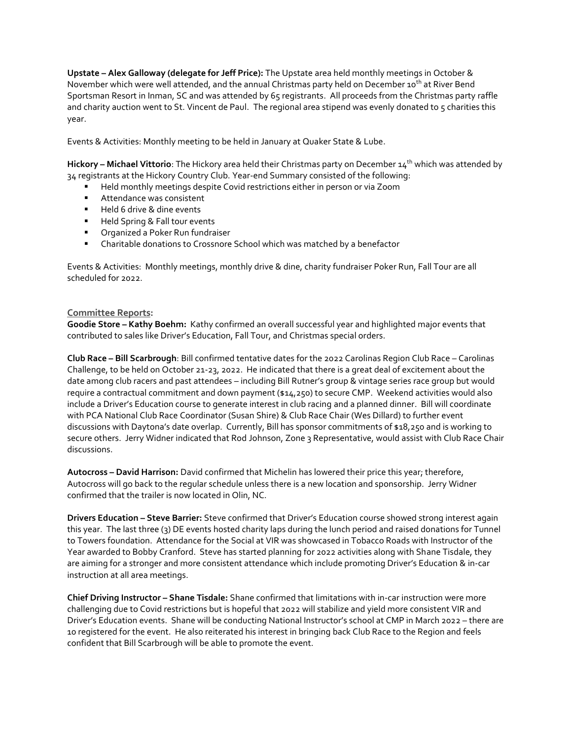**Upstate – Alex Galloway (delegate for Jeff Price):** The Upstate area held monthly meetings in October & November which were well attended, and the annual Christmas party held on December 10<sup>th</sup> at River Bend Sportsman Resort in Inman, SC and was attended by 65 registrants. All proceeds from the Christmas party raffle and charity auction went to St. Vincent de Paul. The regional area stipend was evenly donated to 5 charities this year.

Events & Activities: Monthly meeting to be held in January at Quaker State & Lube.

Hickory – Michael Vittorio: The Hickory area held their Christmas party on December 14<sup>th</sup> which was attended by 34 registrants at the Hickory Country Club. Year-end Summary consisted of the following:

- Held monthly meetings despite Covid restrictions either in person or via Zoom
- Attendance was consistent
- Held 6 drive & dine events
- Held Spring & Fall tour events
- Organized a Poker Run fundraiser
- Charitable donations to Crossnore School which was matched by a benefactor

Events & Activities: Monthly meetings, monthly drive & dine, charity fundraiser Poker Run, Fall Tour are all scheduled for 2022.

# **Committee Reports:**

**Goodie Store – Kathy Boehm:** Kathy confirmed an overall successful year and highlighted major events that contributed to sales like Driver's Education, Fall Tour, and Christmas special orders.

**Club Race – Bill Scarbrough**: Bill confirmed tentative dates for the 2022 Carolinas Region Club Race – Carolinas Challenge, to be held on October 21-23, 2022. He indicated that there is a great deal of excitement about the date among club racers and past attendees – including Bill Rutner's group & vintage series race group but would require a contractual commitment and down payment (\$14,250) to secure CMP. Weekend activities would also include a Driver's Education course to generate interest in club racing and a planned dinner. Bill will coordinate with PCA National Club Race Coordinator (Susan Shire) & Club Race Chair (Wes Dillard) to further event discussions with Daytona's date overlap. Currently, Bill has sponsor commitments of \$18,250 and is working to secure others. Jerry Widner indicated that Rod Johnson, Zone 3 Representative, would assist with Club Race Chair discussions.

**Autocross – David Harrison:** David confirmed that Michelin has lowered their price this year; therefore, Autocross will go back to the regular schedule unless there is a new location and sponsorship. Jerry Widner confirmed that the trailer is now located in Olin, NC.

**Drivers Education – Steve Barrier:** Steve confirmed that Driver's Education course showed strong interest again this year. The last three (3) DE events hosted charity laps during the lunch period and raised donations for Tunnel to Towers foundation. Attendance for the Social at VIR was showcased in Tobacco Roads with Instructor of the Year awarded to Bobby Cranford. Steve has started planning for 2022 activities along with Shane Tisdale, they are aiming for a stronger and more consistent attendance which include promoting Driver's Education & in-car instruction at all area meetings.

**Chief Driving Instructor – Shane Tisdale:** Shane confirmed that limitations with in-car instruction were more challenging due to Covid restrictions but is hopeful that 2022 will stabilize and yield more consistent VIR and Driver's Education events. Shane will be conducting National Instructor's school at CMP in March 2022 – there are 10 registered for the event. He also reiterated his interest in bringing back Club Race to the Region and feels confident that Bill Scarbrough will be able to promote the event.